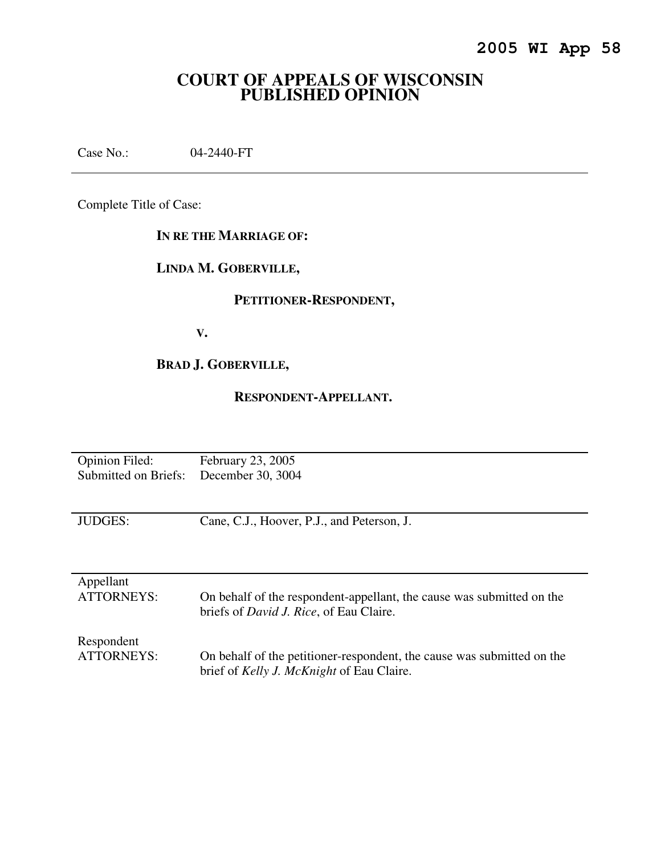# **COURT OF APPEALS OF WISCONSIN PUBLISHED OPINION**

Case No.: 04-2440-FT

Complete Title of Case:

#### **IN RE THE MARRIAGE OF:**

### **LINDA M. GOBERVILLE,**

### **PETITIONER-RESPONDENT,**

 **V.** 

# **BRAD J. GOBERVILLE,**

#### **RESPONDENT-APPELLANT.**

| <b>Opinion Filed:</b> | February 23, 2005                                                      |
|-----------------------|------------------------------------------------------------------------|
| Submitted on Briefs:  | December 30, 3004                                                      |
| <b>JUDGES:</b>        | Cane, C.J., Hoover, P.J., and Peterson, J.                             |
| Appellant             | On behalf of the respondent-appellant, the cause was submitted on the  |
| <b>ATTORNEYS:</b>     | briefs of <i>David J. Rice</i> , of Eau Claire.                        |
| Respondent            | On behalf of the petitioner-respondent, the cause was submitted on the |
| <b>ATTORNEYS:</b>     | brief of Kelly J. McKnight of Eau Claire.                              |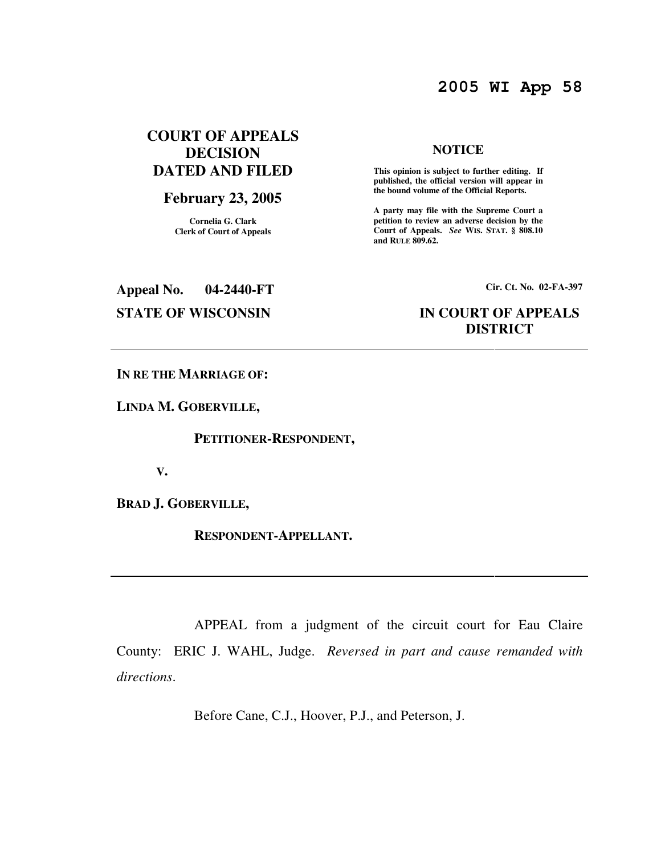# **2005 WI App 58**

# **COURT OF APPEALS DECISION DATED AND FILED**

#### **February 23, 2005**

**Cornelia G. Clark Clerk of Court of Appeals**

#### **NOTICE**

 **This opinion is subject to further editing. If published, the official version will appear in the bound volume of the Official Reports.** 

**A party may file with the Supreme Court a petition to review an adverse decision by the Court of Appeals.** *See* **WIS. STAT. § 808.10 and RULE 809.62.** 

# **Appeal No. 04-2440-FT Cir. Ct. No. 02-FA-397 STATE OF WISCONSIN IN COURT OF APPEALS**

# **DISTRICT**

**IN RE THE MARRIAGE OF:** 

**LINDA M. GOBERVILLE,** 

 **PETITIONER-RESPONDENT,** 

 **V.** 

**BRAD J. GOBERVILLE,** 

 **RESPONDENT-APPELLANT.** 

 APPEAL from a judgment of the circuit court for Eau Claire County: ERIC J. WAHL, Judge. *Reversed in part and cause remanded with directions*.

Before Cane, C.J., Hoover, P.J., and Peterson, J.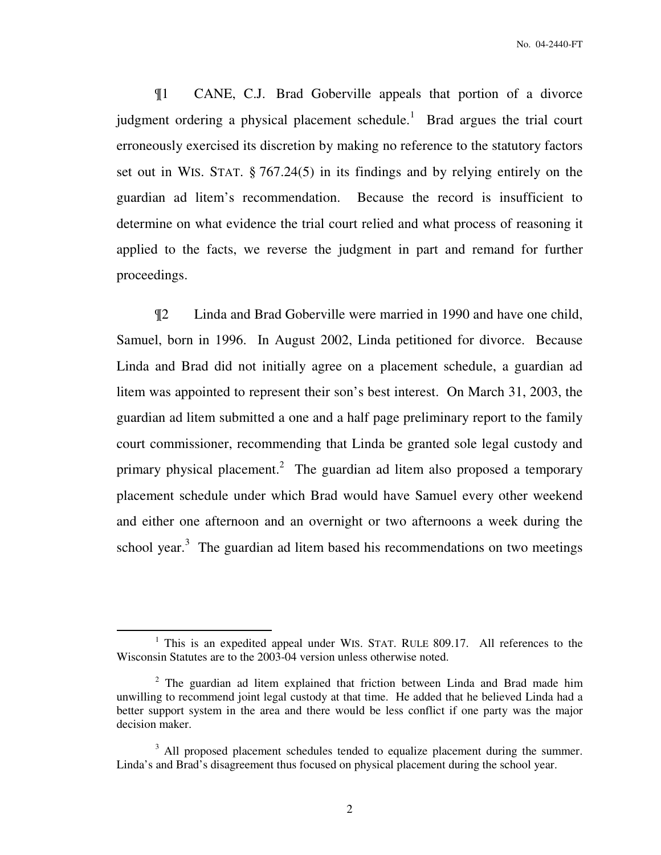¶1 CANE, C.J. Brad Goberville appeals that portion of a divorce judgment ordering a physical placement schedule.<sup>1</sup> Brad argues the trial court erroneously exercised its discretion by making no reference to the statutory factors set out in WIS. STAT. § 767.24(5) in its findings and by relying entirely on the guardian ad litem's recommendation. Because the record is insufficient to determine on what evidence the trial court relied and what process of reasoning it applied to the facts, we reverse the judgment in part and remand for further proceedings.

¶2 Linda and Brad Goberville were married in 1990 and have one child, Samuel, born in 1996. In August 2002, Linda petitioned for divorce. Because Linda and Brad did not initially agree on a placement schedule, a guardian ad litem was appointed to represent their son's best interest. On March 31, 2003, the guardian ad litem submitted a one and a half page preliminary report to the family court commissioner, recommending that Linda be granted sole legal custody and primary physical placement.<sup>2</sup> The guardian ad litem also proposed a temporary placement schedule under which Brad would have Samuel every other weekend and either one afternoon and an overnight or two afternoons a week during the school year. $3$  The guardian ad litem based his recommendations on two meetings

 $\overline{a}$ 

<sup>&</sup>lt;sup>1</sup> This is an expedited appeal under WIS. STAT. RULE 809.17. All references to the Wisconsin Statutes are to the 2003-04 version unless otherwise noted.

 $2$  The guardian ad litem explained that friction between Linda and Brad made him unwilling to recommend joint legal custody at that time. He added that he believed Linda had a better support system in the area and there would be less conflict if one party was the major decision maker.

<sup>&</sup>lt;sup>3</sup> All proposed placement schedules tended to equalize placement during the summer. Linda's and Brad's disagreement thus focused on physical placement during the school year.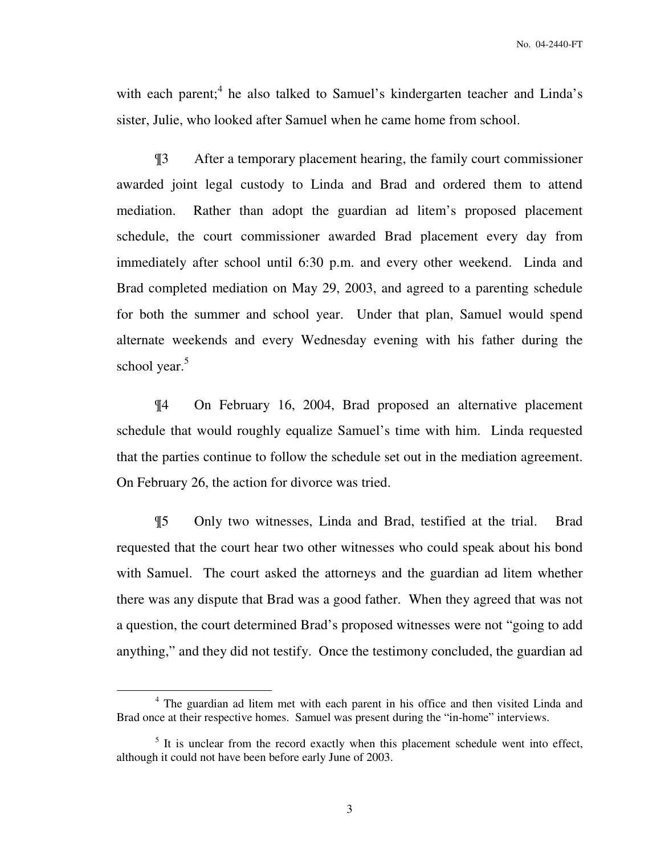with each parent;<sup>4</sup> he also talked to Samuel's kindergarten teacher and Linda's sister, Julie, who looked after Samuel when he came home from school.

¶3 After a temporary placement hearing, the family court commissioner awarded joint legal custody to Linda and Brad and ordered them to attend mediation. Rather than adopt the guardian ad litem's proposed placement schedule, the court commissioner awarded Brad placement every day from immediately after school until 6:30 p.m. and every other weekend. Linda and Brad completed mediation on May 29, 2003, and agreed to a parenting schedule for both the summer and school year. Under that plan, Samuel would spend alternate weekends and every Wednesday evening with his father during the school year.<sup>5</sup>

¶4 On February 16, 2004, Brad proposed an alternative placement schedule that would roughly equalize Samuel's time with him. Linda requested that the parties continue to follow the schedule set out in the mediation agreement. On February 26, the action for divorce was tried.

¶5 Only two witnesses, Linda and Brad, testified at the trial. Brad requested that the court hear two other witnesses who could speak about his bond with Samuel. The court asked the attorneys and the guardian ad litem whether there was any dispute that Brad was a good father. When they agreed that was not a question, the court determined Brad's proposed witnesses were not "going to add anything," and they did not testify. Once the testimony concluded, the guardian ad

 $\overline{a}$ 

<sup>&</sup>lt;sup>4</sup> The guardian ad litem met with each parent in his office and then visited Linda and Brad once at their respective homes. Samuel was present during the "in-home" interviews.

 $<sup>5</sup>$  It is unclear from the record exactly when this placement schedule went into effect,</sup> although it could not have been before early June of 2003.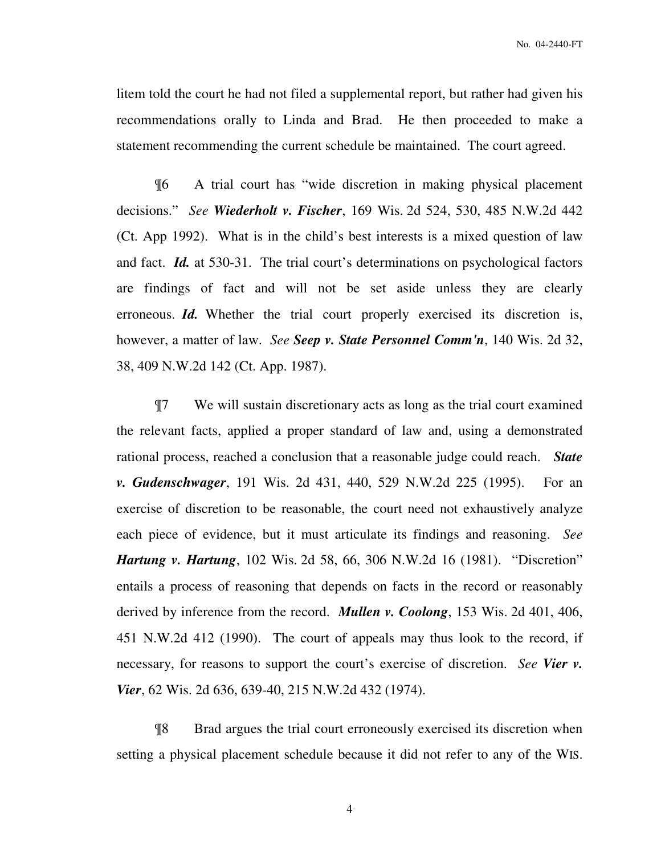litem told the court he had not filed a supplemental report, but rather had given his recommendations orally to Linda and Brad. He then proceeded to make a statement recommending the current schedule be maintained. The court agreed.

¶6 A trial court has "wide discretion in making physical placement decisions." *See Wiederholt v. Fischer*, 169 Wis. 2d 524, 530, 485 N.W.2d 442 (Ct. App 1992). What is in the child's best interests is a mixed question of law and fact. *Id.* at 530-31. The trial court's determinations on psychological factors are findings of fact and will not be set aside unless they are clearly erroneous. *Id.* Whether the trial court properly exercised its discretion is, however, a matter of law. *See Seep v. State Personnel Comm'n*, 140 Wis. 2d 32, 38, 409 N.W.2d 142 (Ct. App. 1987).

¶7 We will sustain discretionary acts as long as the trial court examined the relevant facts, applied a proper standard of law and, using a demonstrated rational process, reached a conclusion that a reasonable judge could reach. *State v. Gudenschwager*, 191 Wis. 2d 431, 440, 529 N.W.2d 225 (1995). For an exercise of discretion to be reasonable, the court need not exhaustively analyze each piece of evidence, but it must articulate its findings and reasoning. *See Hartung v. Hartung*, 102 Wis. 2d 58, 66, 306 N.W.2d 16 (1981). "Discretion" entails a process of reasoning that depends on facts in the record or reasonably derived by inference from the record. *Mullen v. Coolong*, 153 Wis. 2d 401, 406, 451 N.W.2d 412 (1990). The court of appeals may thus look to the record, if necessary, for reasons to support the court's exercise of discretion. *See Vier v. Vier*, 62 Wis. 2d 636, 639-40, 215 N.W.2d 432 (1974).

¶8 Brad argues the trial court erroneously exercised its discretion when setting a physical placement schedule because it did not refer to any of the WIS.

4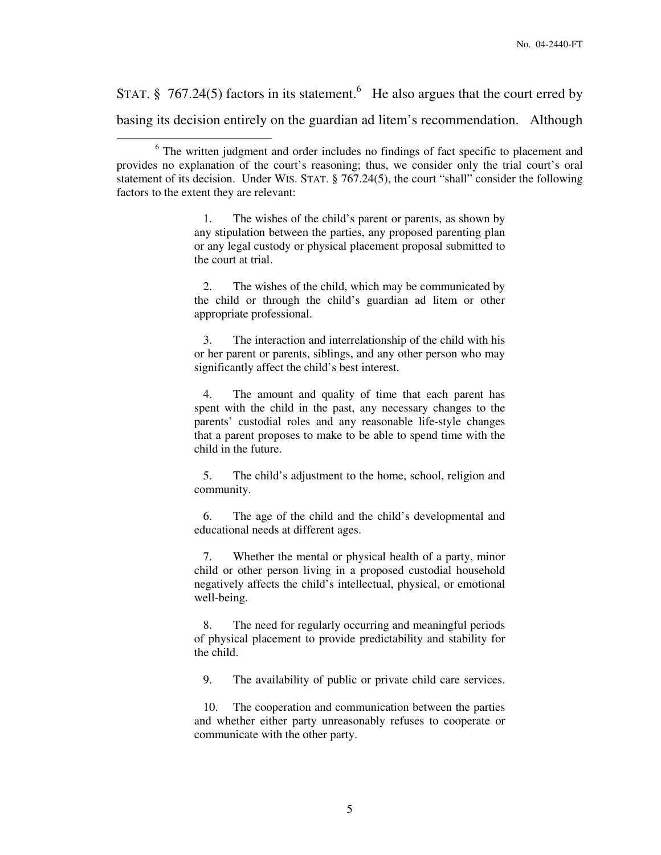STAT. § 767.24(5) factors in its statement.<sup>6</sup> He also argues that the court erred by basing its decision entirely on the guardian ad litem's recommendation. Although

 $\overline{a}$ 

 1. The wishes of the child's parent or parents, as shown by any stipulation between the parties, any proposed parenting plan or any legal custody or physical placement proposal submitted to the court at trial.

 2. The wishes of the child, which may be communicated by the child or through the child's guardian ad litem or other appropriate professional.

 3. The interaction and interrelationship of the child with his or her parent or parents, siblings, and any other person who may significantly affect the child's best interest.

 4. The amount and quality of time that each parent has spent with the child in the past, any necessary changes to the parents' custodial roles and any reasonable life-style changes that a parent proposes to make to be able to spend time with the child in the future.

 5. The child's adjustment to the home, school, religion and community.

 6. The age of the child and the child's developmental and educational needs at different ages.

 7. Whether the mental or physical health of a party, minor child or other person living in a proposed custodial household negatively affects the child's intellectual, physical, or emotional well-being.

 8. The need for regularly occurring and meaningful periods of physical placement to provide predictability and stability for the child.

9. The availability of public or private child care services.

 10. The cooperation and communication between the parties and whether either party unreasonably refuses to cooperate or communicate with the other party.

<sup>&</sup>lt;sup>6</sup> The written judgment and order includes no findings of fact specific to placement and provides no explanation of the court's reasoning; thus, we consider only the trial court's oral statement of its decision. Under WIS. STAT. § 767.24(5), the court "shall" consider the following factors to the extent they are relevant: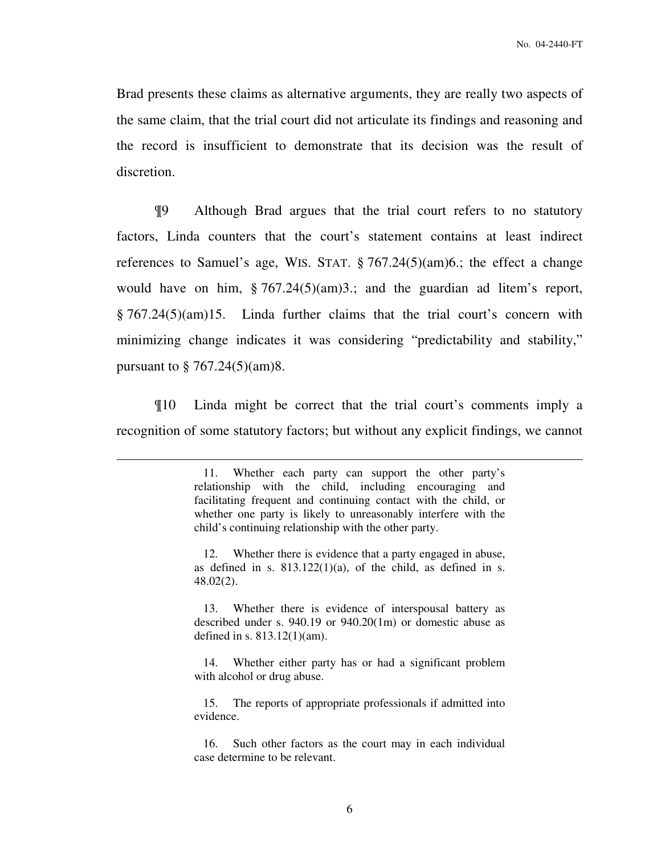Brad presents these claims as alternative arguments, they are really two aspects of the same claim, that the trial court did not articulate its findings and reasoning and the record is insufficient to demonstrate that its decision was the result of discretion.

¶9 Although Brad argues that the trial court refers to no statutory factors, Linda counters that the court's statement contains at least indirect references to Samuel's age, WIS. STAT. § 767.24(5)(am)6.; the effect a change would have on him, § 767.24(5)(am)3.; and the guardian ad litem's report, § 767.24(5)(am)15. Linda further claims that the trial court's concern with minimizing change indicates it was considering "predictability and stability," pursuant to  $\S$  767.24(5)(am)8.

¶10 Linda might be correct that the trial court's comments imply a recognition of some statutory factors; but without any explicit findings, we cannot

 $\overline{a}$ 

 12. Whether there is evidence that a party engaged in abuse, as defined in s.  $813.122(1)(a)$ , of the child, as defined in s. 48.02(2).

 13. Whether there is evidence of interspousal battery as described under s. 940.19 or 940.20(1m) or domestic abuse as defined in s. 813.12(1)(am).

 14. Whether either party has or had a significant problem with alcohol or drug abuse.

 15. The reports of appropriate professionals if admitted into evidence.

 16. Such other factors as the court may in each individual case determine to be relevant.

 <sup>11.</sup> Whether each party can support the other party's relationship with the child, including encouraging and facilitating frequent and continuing contact with the child, or whether one party is likely to unreasonably interfere with the child's continuing relationship with the other party.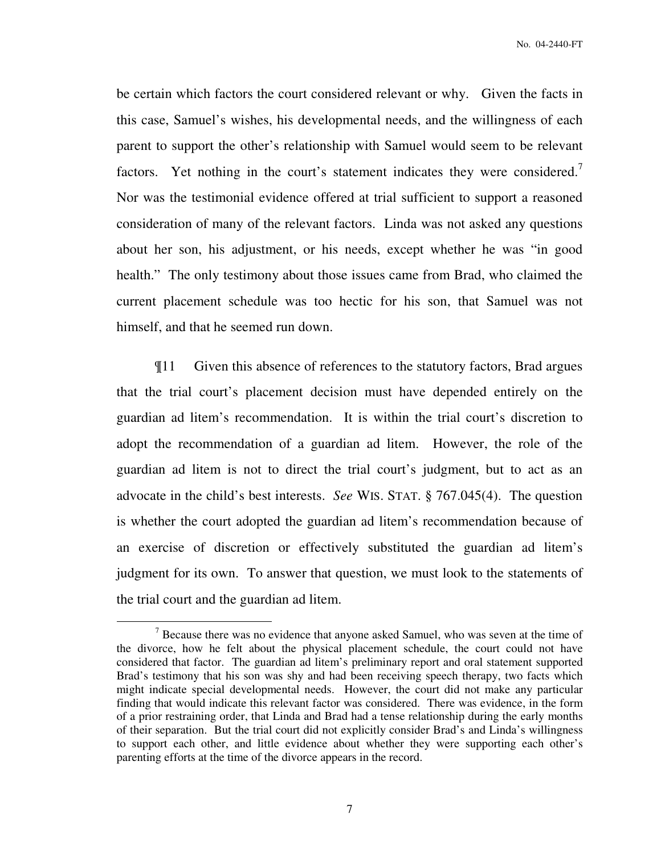be certain which factors the court considered relevant or why. Given the facts in this case, Samuel's wishes, his developmental needs, and the willingness of each parent to support the other's relationship with Samuel would seem to be relevant factors. Yet nothing in the court's statement indicates they were considered.<sup>7</sup> Nor was the testimonial evidence offered at trial sufficient to support a reasoned consideration of many of the relevant factors. Linda was not asked any questions about her son, his adjustment, or his needs, except whether he was "in good health." The only testimony about those issues came from Brad, who claimed the current placement schedule was too hectic for his son, that Samuel was not himself, and that he seemed run down.

¶11 Given this absence of references to the statutory factors, Brad argues that the trial court's placement decision must have depended entirely on the guardian ad litem's recommendation. It is within the trial court's discretion to adopt the recommendation of a guardian ad litem. However, the role of the guardian ad litem is not to direct the trial court's judgment, but to act as an advocate in the child's best interests. *See* WIS. STAT. § 767.045(4). The question is whether the court adopted the guardian ad litem's recommendation because of an exercise of discretion or effectively substituted the guardian ad litem's judgment for its own. To answer that question, we must look to the statements of the trial court and the guardian ad litem.

 $\overline{a}$ 

7

 $<sup>7</sup>$  Because there was no evidence that anyone asked Samuel, who was seven at the time of</sup> the divorce, how he felt about the physical placement schedule, the court could not have considered that factor. The guardian ad litem's preliminary report and oral statement supported Brad's testimony that his son was shy and had been receiving speech therapy, two facts which might indicate special developmental needs. However, the court did not make any particular finding that would indicate this relevant factor was considered. There was evidence, in the form of a prior restraining order, that Linda and Brad had a tense relationship during the early months of their separation. But the trial court did not explicitly consider Brad's and Linda's willingness to support each other, and little evidence about whether they were supporting each other's parenting efforts at the time of the divorce appears in the record.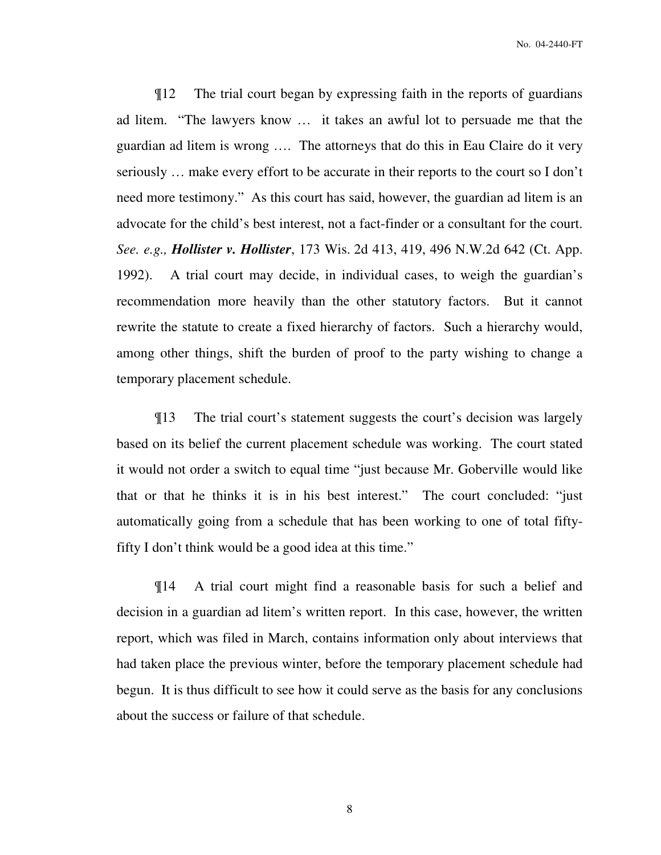¶12 The trial court began by expressing faith in the reports of guardians ad litem. "The lawyers know … it takes an awful lot to persuade me that the guardian ad litem is wrong …. The attorneys that do this in Eau Claire do it very seriously … make every effort to be accurate in their reports to the court so I don't need more testimony." As this court has said, however, the guardian ad litem is an advocate for the child's best interest, not a fact-finder or a consultant for the court. *See. e.g., Hollister v. Hollister*, 173 Wis. 2d 413, 419, 496 N.W.2d 642 (Ct. App. 1992). A trial court may decide, in individual cases, to weigh the guardian's recommendation more heavily than the other statutory factors. But it cannot rewrite the statute to create a fixed hierarchy of factors. Such a hierarchy would, among other things, shift the burden of proof to the party wishing to change a temporary placement schedule.

¶13 The trial court's statement suggests the court's decision was largely based on its belief the current placement schedule was working. The court stated it would not order a switch to equal time "just because Mr. Goberville would like that or that he thinks it is in his best interest." The court concluded: "just automatically going from a schedule that has been working to one of total fiftyfifty I don't think would be a good idea at this time."

¶14 A trial court might find a reasonable basis for such a belief and decision in a guardian ad litem's written report. In this case, however, the written report, which was filed in March, contains information only about interviews that had taken place the previous winter, before the temporary placement schedule had begun. It is thus difficult to see how it could serve as the basis for any conclusions about the success or failure of that schedule.

8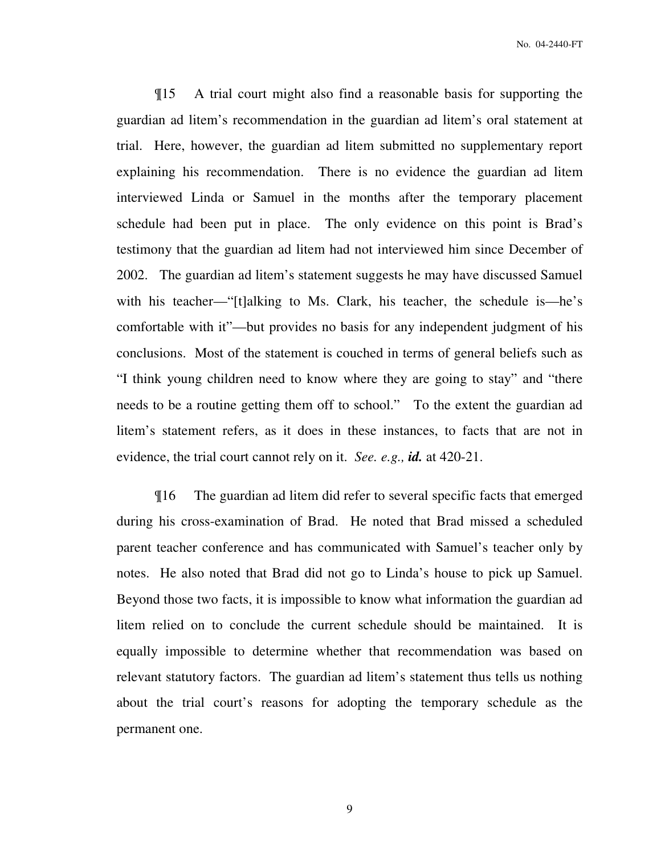¶15 A trial court might also find a reasonable basis for supporting the guardian ad litem's recommendation in the guardian ad litem's oral statement at trial. Here, however, the guardian ad litem submitted no supplementary report explaining his recommendation. There is no evidence the guardian ad litem interviewed Linda or Samuel in the months after the temporary placement schedule had been put in place. The only evidence on this point is Brad's testimony that the guardian ad litem had not interviewed him since December of 2002. The guardian ad litem's statement suggests he may have discussed Samuel with his teacher—"[t]alking to Ms. Clark, his teacher, the schedule is—he's comfortable with it"—but provides no basis for any independent judgment of his conclusions. Most of the statement is couched in terms of general beliefs such as "I think young children need to know where they are going to stay" and "there needs to be a routine getting them off to school." To the extent the guardian ad litem's statement refers, as it does in these instances, to facts that are not in evidence, the trial court cannot rely on it. *See. e.g., id.* at 420-21.

¶16 The guardian ad litem did refer to several specific facts that emerged during his cross-examination of Brad. He noted that Brad missed a scheduled parent teacher conference and has communicated with Samuel's teacher only by notes. He also noted that Brad did not go to Linda's house to pick up Samuel. Beyond those two facts, it is impossible to know what information the guardian ad litem relied on to conclude the current schedule should be maintained. It is equally impossible to determine whether that recommendation was based on relevant statutory factors. The guardian ad litem's statement thus tells us nothing about the trial court's reasons for adopting the temporary schedule as the permanent one.